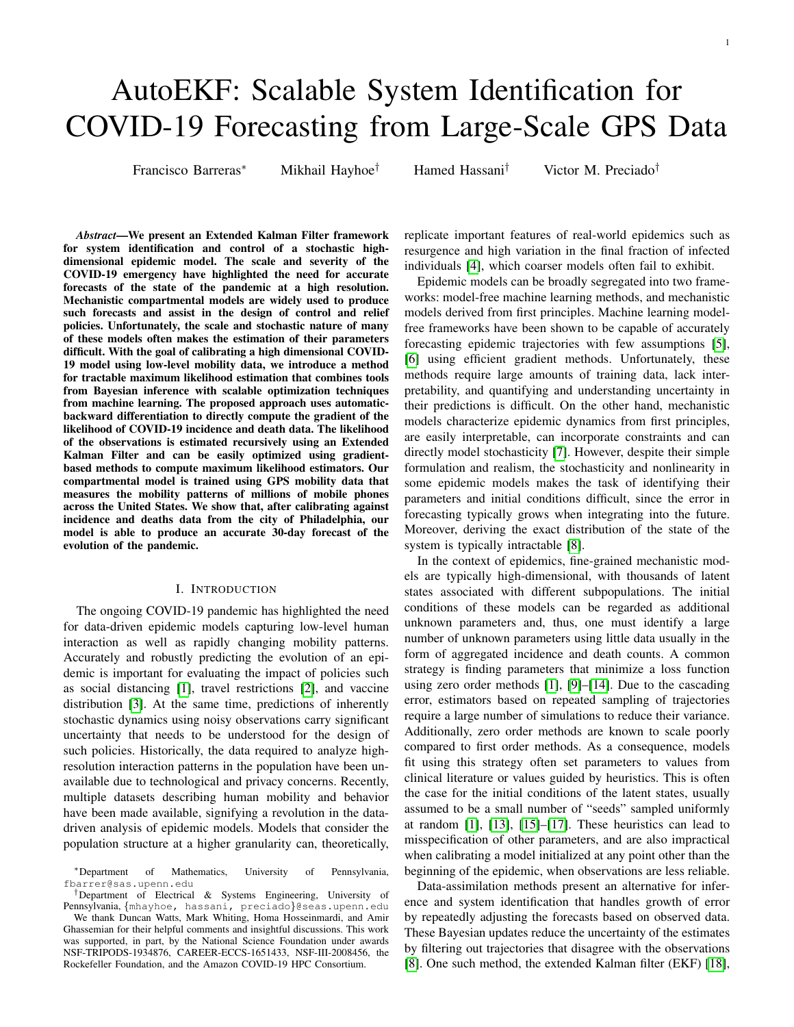# AutoEKF: Scalable System Identification for COVID-19 Forecasting from Large-Scale GPS Data

Francisco Barreras<sup>∗</sup> Mikhail Hayhoe† Hamed Hassani† Victor M. Preciado†

*Abstract*—We present an Extended Kalman Filter framework for system identification and control of a stochastic highdimensional epidemic model. The scale and severity of the COVID-19 emergency have highlighted the need for accurate forecasts of the state of the pandemic at a high resolution. Mechanistic compartmental models are widely used to produce such forecasts and assist in the design of control and relief policies. Unfortunately, the scale and stochastic nature of many of these models often makes the estimation of their parameters difficult. With the goal of calibrating a high dimensional COVID-19 model using low-level mobility data, we introduce a method for tractable maximum likelihood estimation that combines tools from Bayesian inference with scalable optimization techniques from machine learning. The proposed approach uses automaticbackward differentiation to directly compute the gradient of the likelihood of COVID-19 incidence and death data. The likelihood of the observations is estimated recursively using an Extended Kalman Filter and can be easily optimized using gradientbased methods to compute maximum likelihood estimators. Our compartmental model is trained using GPS mobility data that measures the mobility patterns of millions of mobile phones across the United States. We show that, after calibrating against incidence and deaths data from the city of Philadelphia, our model is able to produce an accurate 30-day forecast of the evolution of the pandemic.

# I. INTRODUCTION

The ongoing COVID-19 pandemic has highlighted the need for data-driven epidemic models capturing low-level human interaction as well as rapidly changing mobility patterns. Accurately and robustly predicting the evolution of an epidemic is important for evaluating the impact of policies such as social distancing [\[1\]](#page-4-0), travel restrictions [\[2\]](#page-4-1), and vaccine distribution [\[3\]](#page-4-2). At the same time, predictions of inherently stochastic dynamics using noisy observations carry significant uncertainty that needs to be understood for the design of such policies. Historically, the data required to analyze highresolution interaction patterns in the population have been unavailable due to technological and privacy concerns. Recently, multiple datasets describing human mobility and behavior have been made available, signifying a revolution in the datadriven analysis of epidemic models. Models that consider the population structure at a higher granularity can, theoretically,

†Department of Electrical & Systems Engineering, University of Pennsylvania, {mhayhoe, hassani, preciado}@seas.upenn.edu

We thank Duncan Watts, Mark Whiting, Homa Hosseinmardi, and Amir Ghassemian for their helpful comments and insightful discussions. This work was supported, in part, by the National Science Foundation under awards NSF-TRIPODS-1934876, CAREER-ECCS-1651433, NSF-III-2008456, the Rockefeller Foundation, and the Amazon COVID-19 HPC Consortium.

replicate important features of real-world epidemics such as resurgence and high variation in the final fraction of infected individuals [\[4\]](#page-4-3), which coarser models often fail to exhibit.

Epidemic models can be broadly segregated into two frameworks: model-free machine learning methods, and mechanistic models derived from first principles. Machine learning modelfree frameworks have been shown to be capable of accurately forecasting epidemic trajectories with few assumptions [\[5\]](#page-4-4), [\[6\]](#page-5-0) using efficient gradient methods. Unfortunately, these methods require large amounts of training data, lack interpretability, and quantifying and understanding uncertainty in their predictions is difficult. On the other hand, mechanistic models characterize epidemic dynamics from first principles, are easily interpretable, can incorporate constraints and can directly model stochasticity [\[7\]](#page-5-1). However, despite their simple formulation and realism, the stochasticity and nonlinearity in some epidemic models makes the task of identifying their parameters and initial conditions difficult, since the error in forecasting typically grows when integrating into the future. Moreover, deriving the exact distribution of the state of the system is typically intractable [\[8\]](#page-5-2).

In the context of epidemics, fine-grained mechanistic models are typically high-dimensional, with thousands of latent states associated with different subpopulations. The initial conditions of these models can be regarded as additional unknown parameters and, thus, one must identify a large number of unknown parameters using little data usually in the form of aggregated incidence and death counts. A common strategy is finding parameters that minimize a loss function using zero order methods [\[1\]](#page-4-0), [\[9\]](#page-5-3)–[\[14\]](#page-5-4). Due to the cascading error, estimators based on repeated sampling of trajectories require a large number of simulations to reduce their variance. Additionally, zero order methods are known to scale poorly compared to first order methods. As a consequence, models fit using this strategy often set parameters to values from clinical literature or values guided by heuristics. This is often the case for the initial conditions of the latent states, usually assumed to be a small number of "seeds" sampled uniformly at random [\[1\]](#page-4-0), [\[13\]](#page-5-5), [\[15\]](#page-5-6)–[\[17\]](#page-5-7). These heuristics can lead to misspecification of other parameters, and are also impractical when calibrating a model initialized at any point other than the beginning of the epidemic, when observations are less reliable.

Data-assimilation methods present an alternative for inference and system identification that handles growth of error by repeatedly adjusting the forecasts based on observed data. These Bayesian updates reduce the uncertainty of the estimates by filtering out trajectories that disagree with the observations [\[8\]](#page-5-2). One such method, the extended Kalman filter (EKF) [\[18\]](#page-5-8),

<sup>∗</sup>Department of Mathematics, University of Pennsylvania, fbarrer@sas.upenn.edu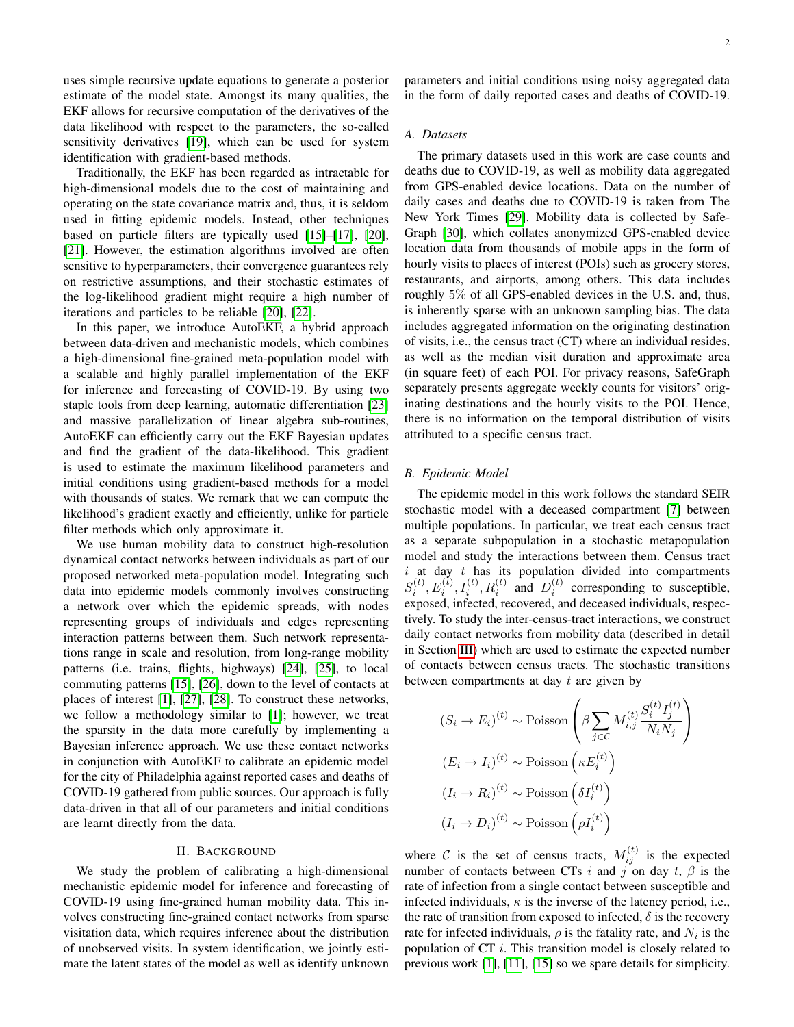uses simple recursive update equations to generate a posterior estimate of the model state. Amongst its many qualities, the EKF allows for recursive computation of the derivatives of the data likelihood with respect to the parameters, the so-called sensitivity derivatives [\[19\]](#page-5-9), which can be used for system identification with gradient-based methods.

Traditionally, the EKF has been regarded as intractable for high-dimensional models due to the cost of maintaining and operating on the state covariance matrix and, thus, it is seldom used in fitting epidemic models. Instead, other techniques based on particle filters are typically used [\[15\]](#page-5-6)–[\[17\]](#page-5-7), [\[20\]](#page-5-10), [\[21\]](#page-5-11). However, the estimation algorithms involved are often sensitive to hyperparameters, their convergence guarantees rely on restrictive assumptions, and their stochastic estimates of the log-likelihood gradient might require a high number of iterations and particles to be reliable [\[20\]](#page-5-10), [\[22\]](#page-5-12).

In this paper, we introduce AutoEKF, a hybrid approach between data-driven and mechanistic models, which combines a high-dimensional fine-grained meta-population model with a scalable and highly parallel implementation of the EKF for inference and forecasting of COVID-19. By using two staple tools from deep learning, automatic differentiation [\[23\]](#page-5-13) and massive parallelization of linear algebra sub-routines, AutoEKF can efficiently carry out the EKF Bayesian updates and find the gradient of the data-likelihood. This gradient is used to estimate the maximum likelihood parameters and initial conditions using gradient-based methods for a model with thousands of states. We remark that we can compute the likelihood's gradient exactly and efficiently, unlike for particle filter methods which only approximate it.

We use human mobility data to construct high-resolution dynamical contact networks between individuals as part of our proposed networked meta-population model. Integrating such data into epidemic models commonly involves constructing a network over which the epidemic spreads, with nodes representing groups of individuals and edges representing interaction patterns between them. Such network representations range in scale and resolution, from long-range mobility patterns (i.e. trains, flights, highways) [\[24\]](#page-5-14), [\[25\]](#page-5-15), to local commuting patterns [\[15\]](#page-5-6), [\[26\]](#page-5-16), down to the level of contacts at places of interest [\[1\]](#page-4-0), [\[27\]](#page-5-17), [\[28\]](#page-5-18). To construct these networks, we follow a methodology similar to [\[1\]](#page-4-0); however, we treat the sparsity in the data more carefully by implementing a Bayesian inference approach. We use these contact networks in conjunction with AutoEKF to calibrate an epidemic model for the city of Philadelphia against reported cases and deaths of COVID-19 gathered from public sources. Our approach is fully data-driven in that all of our parameters and initial conditions are learnt directly from the data.

#### II. BACKGROUND

We study the problem of calibrating a high-dimensional mechanistic epidemic model for inference and forecasting of COVID-19 using fine-grained human mobility data. This involves constructing fine-grained contact networks from sparse visitation data, which requires inference about the distribution of unobserved visits. In system identification, we jointly estimate the latent states of the model as well as identify unknown parameters and initial conditions using noisy aggregated data in the form of daily reported cases and deaths of COVID-19.

# *A. Datasets*

The primary datasets used in this work are case counts and deaths due to COVID-19, as well as mobility data aggregated from GPS-enabled device locations. Data on the number of daily cases and deaths due to COVID-19 is taken from The New York Times [\[29\]](#page-5-19). Mobility data is collected by Safe-Graph [\[30\]](#page-5-20), which collates anonymized GPS-enabled device location data from thousands of mobile apps in the form of hourly visits to places of interest (POIs) such as grocery stores, restaurants, and airports, among others. This data includes roughly 5% of all GPS-enabled devices in the U.S. and, thus, is inherently sparse with an unknown sampling bias. The data includes aggregated information on the originating destination of visits, i.e., the census tract (CT) where an individual resides, as well as the median visit duration and approximate area (in square feet) of each POI. For privacy reasons, SafeGraph separately presents aggregate weekly counts for visitors' originating destinations and the hourly visits to the POI. Hence, there is no information on the temporal distribution of visits attributed to a specific census tract.

## <span id="page-1-0"></span>*B. Epidemic Model*

The epidemic model in this work follows the standard SEIR stochastic model with a deceased compartment [\[7\]](#page-5-1) between multiple populations. In particular, we treat each census tract as a separate subpopulation in a stochastic metapopulation model and study the interactions between them. Census tract  $i$  at day  $t$  has its population divided into compartments  $S_i^{(t)}, E_i^{(t)}, I_i^{(t)}, R_i^{(t)}$  and  $D_i^{(t)}$  corresponding to susceptible, exposed, infected, recovered, and deceased individuals, respectively. To study the inter-census-tract interactions, we construct daily contact networks from mobility data (described in detail in Section [III\)](#page-2-0) which are used to estimate the expected number of contacts between census tracts. The stochastic transitions between compartments at day  $t$  are given by

$$
(S_i \to E_i)^{(t)} \sim \text{Poisson}\left(\beta \sum_{j \in \mathcal{C}} M_{i,j}^{(t)} \frac{S_i^{(t)} I_j^{(t)}}{N_i N_j}\right)
$$

$$
(E_i \to I_i)^{(t)} \sim \text{Poisson}\left(\kappa E_i^{(t)}\right)
$$

$$
(I_i \to R_i)^{(t)} \sim \text{Poisson}\left(\delta I_i^{(t)}\right)
$$

$$
(I_i \to D_i)^{(t)} \sim \text{Poisson}\left(\rho I_i^{(t)}\right)
$$

where C is the set of census tracts,  $M_{ij}^{(t)}$  is the expected number of contacts between CTs i and j on day t,  $\beta$  is the rate of infection from a single contact between susceptible and infected individuals,  $\kappa$  is the inverse of the latency period, i.e., the rate of transition from exposed to infected,  $\delta$  is the recovery rate for infected individuals,  $\rho$  is the fatality rate, and  $N_i$  is the population of CT i. This transition model is closely related to previous work [\[1\]](#page-4-0), [\[11\]](#page-5-21), [\[15\]](#page-5-6) so we spare details for simplicity.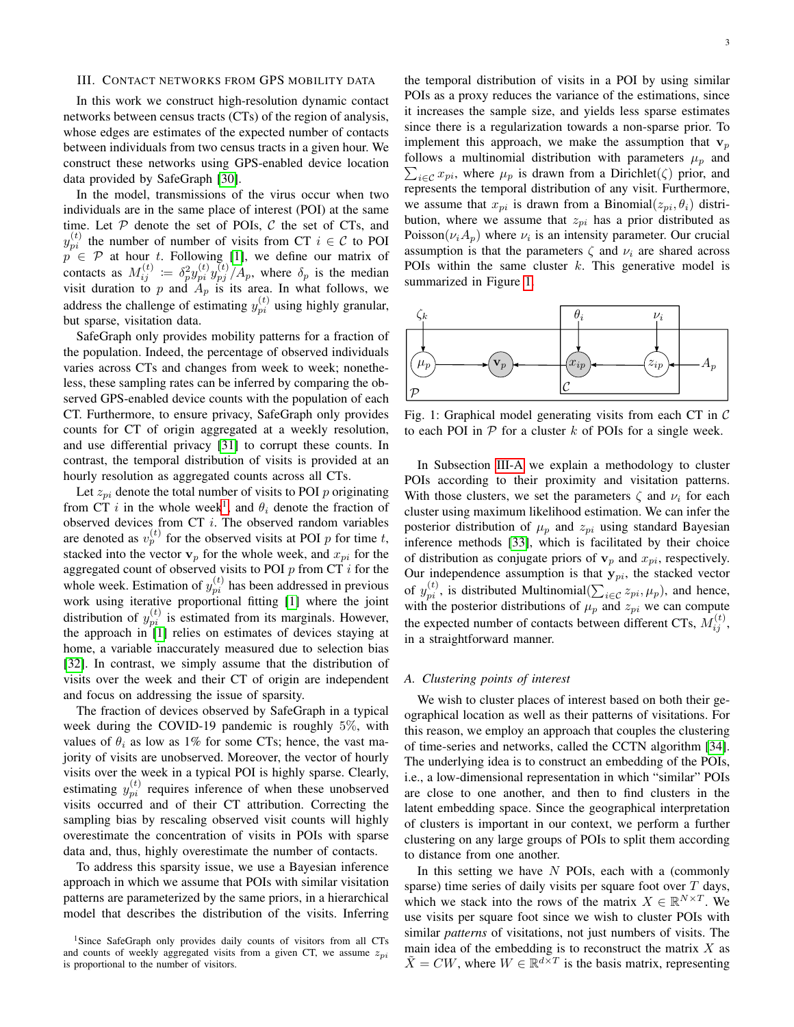## <span id="page-2-0"></span>III. CONTACT NETWORKS FROM GPS MOBILITY DATA

In this work we construct high-resolution dynamic contact networks between census tracts (CTs) of the region of analysis, whose edges are estimates of the expected number of contacts between individuals from two census tracts in a given hour. We construct these networks using GPS-enabled device location data provided by SafeGraph [\[30\]](#page-5-20).

In the model, transmissions of the virus occur when two individuals are in the same place of interest (POI) at the same time. Let  $P$  denote the set of POIs,  $C$  the set of CTs, and  $y_{pi}^{(t)}$  the number of number of visits from CT  $i \in \mathcal{C}$  to POI  $p \in \mathcal{P}$  at hour t. Following [\[1\]](#page-4-0), we define our matrix of contacts as  $M_{ij}^{(t)} := \delta_p^2 y_{pi}^{(t)} y_{pj}^{(t)} / A_p$ , where  $\delta_p$  is the median visit duration to p and  $A_p$  is its area. In what follows, we address the challenge of estimating  $y_{pi}^{(t)}$  using highly granular, but sparse, visitation data.

SafeGraph only provides mobility patterns for a fraction of the population. Indeed, the percentage of observed individuals varies across CTs and changes from week to week; nonetheless, these sampling rates can be inferred by comparing the observed GPS-enabled device counts with the population of each CT. Furthermore, to ensure privacy, SafeGraph only provides counts for CT of origin aggregated at a weekly resolution, and use differential privacy [\[31\]](#page-5-22) to corrupt these counts. In contrast, the temporal distribution of visits is provided at an hourly resolution as aggregated counts across all CTs.

Let  $z_{pi}$  denote the total number of visits to POI p originating from CT i in the whole week<sup>[1](#page-2-1)</sup>, and  $\theta_i$  denote the fraction of observed devices from  $CT$  *i*. The observed random variables are denoted as  $v_p^{(t)}$  for the observed visits at POI p for time t, stacked into the vector  $v_p$  for the whole week, and  $x_{pi}$  for the aggregated count of observed visits to POI  $p$  from CT  $i$  for the whole week. Estimation of  $y_{pi}^{(t)}$  has been addressed in previous work using iterative proportional fitting [\[1\]](#page-4-0) where the joint distribution of  $y_{pi}^{(t)}$  is estimated from its marginals. However, the approach in [\[1\]](#page-4-0) relies on estimates of devices staying at home, a variable inaccurately measured due to selection bias [\[32\]](#page-5-23). In contrast, we simply assume that the distribution of visits over the week and their CT of origin are independent and focus on addressing the issue of sparsity.

The fraction of devices observed by SafeGraph in a typical week during the COVID-19 pandemic is roughly 5%, with values of  $\theta_i$  as low as 1% for some CTs; hence, the vast majority of visits are unobserved. Moreover, the vector of hourly visits over the week in a typical POI is highly sparse. Clearly, estimating  $y_{pi}^{(t)}$  requires inference of when these unobserved visits occurred and of their CT attribution. Correcting the sampling bias by rescaling observed visit counts will highly overestimate the concentration of visits in POIs with sparse data and, thus, highly overestimate the number of contacts.

To address this sparsity issue, we use a Bayesian inference approach in which we assume that POIs with similar visitation patterns are parameterized by the same priors, in a hierarchical model that describes the distribution of the visits. Inferring the temporal distribution of visits in a POI by using similar POIs as a proxy reduces the variance of the estimations, since it increases the sample size, and yields less sparse estimates since there is a regularization towards a non-sparse prior. To implement this approach, we make the assumption that  $v_p$ follows a multinomial distribution with parameters  $\mu_p$  and  $\sum_{i \in \mathcal{C}} x_{pi}$ , where  $\mu_p$  is drawn from a Dirichlet( $\zeta$ ) prior, and represents the temporal distribution of any visit. Furthermore, we assume that  $x_{pi}$  is drawn from a Binomial $(z_{pi}, \theta_i)$  distribution, where we assume that  $z_{pi}$  has a prior distributed as Poisson $(\nu_i A_p)$  where  $\nu_i$  is an intensity parameter. Our crucial assumption is that the parameters  $\zeta$  and  $\nu_i$  are shared across POIs within the same cluster  $k$ . This generative model is summarized in Figure [1.](#page-2-2)

<span id="page-2-2"></span>

Fig. 1: Graphical model generating visits from each CT in  $\mathcal C$ to each POI in  $P$  for a cluster k of POIs for a single week.

In Subsection [III-A](#page-2-3) we explain a methodology to cluster POIs according to their proximity and visitation patterns. With those clusters, we set the parameters  $\zeta$  and  $\nu_i$  for each cluster using maximum likelihood estimation. We can infer the posterior distribution of  $\mu_p$  and  $z_{pi}$  using standard Bayesian inference methods [\[33\]](#page-5-24), which is facilitated by their choice of distribution as conjugate priors of  $v_p$  and  $x_{pi}$ , respectively. Our independence assumption is that  $y_{pi}$ , the stacked vector of  $y_{pi}^{(t)}$ , is distributed Multinomial $(\sum_{i \in \mathcal{C}} z_{pi}, \mu_p)$ , and hence, with the posterior distributions of  $\mu_p$  and  $z_{pi}$  we can compute the expected number of contacts between different CTs,  $M_{ij}^{(t)}$ , in a straightforward manner.

## <span id="page-2-3"></span>*A. Clustering points of interest*

We wish to cluster places of interest based on both their geographical location as well as their patterns of visitations. For this reason, we employ an approach that couples the clustering of time-series and networks, called the CCTN algorithm [\[34\]](#page-5-25). The underlying idea is to construct an embedding of the POIs, i.e., a low-dimensional representation in which "similar" POIs are close to one another, and then to find clusters in the latent embedding space. Since the geographical interpretation of clusters is important in our context, we perform a further clustering on any large groups of POIs to split them according to distance from one another.

In this setting we have  $N$  POIs, each with a (commonly sparse) time series of daily visits per square foot over  $T$  days, which we stack into the rows of the matrix  $X \in \mathbb{R}^{N \times T}$ . We use visits per square foot since we wish to cluster POIs with similar *patterns* of visitations, not just numbers of visits. The main idea of the embedding is to reconstruct the matrix  $X$  as  $\tilde{X} = CW$ , where  $W \in \mathbb{R}^{d \times T}$  is the basis matrix, representing

<span id="page-2-1"></span><sup>&</sup>lt;sup>1</sup>Since SafeGraph only provides daily counts of visitors from all CTs and counts of weekly aggregated visits from a given CT, we assume  $z_{pi}$ is proportional to the number of visitors.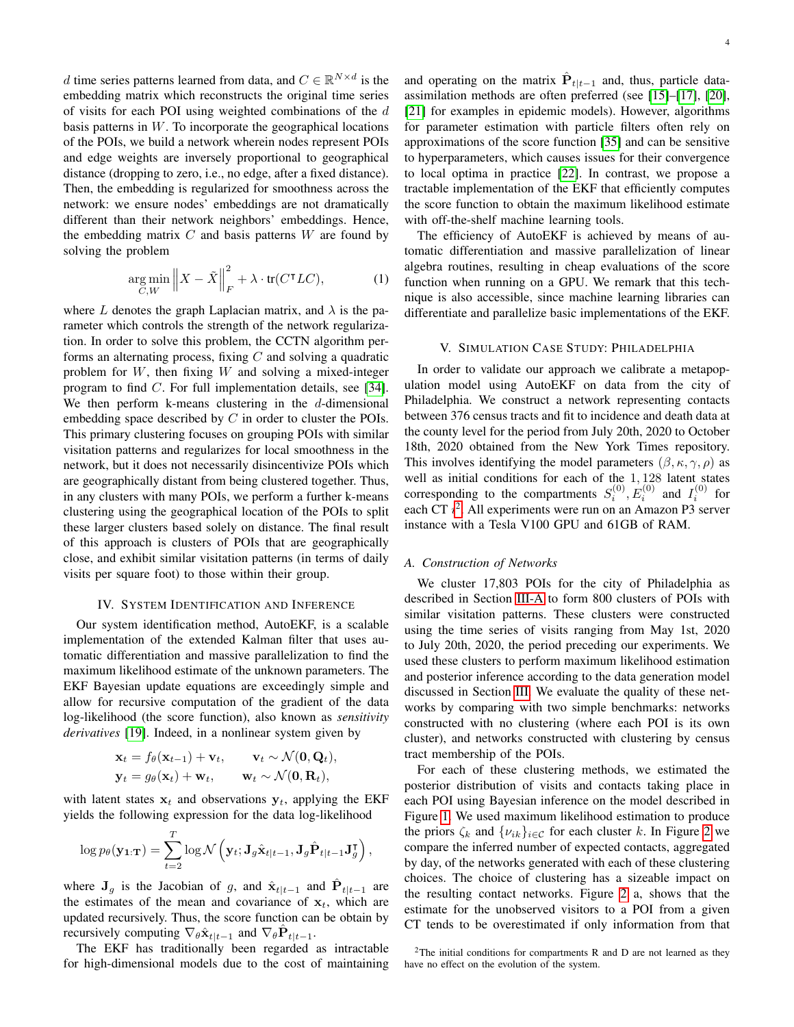d time series patterns learned from data, and  $C \in \mathbb{R}^{N \times d}$  is the embedding matrix which reconstructs the original time series of visits for each POI using weighted combinations of the d basis patterns in  $W$ . To incorporate the geographical locations of the POIs, we build a network wherein nodes represent POIs and edge weights are inversely proportional to geographical distance (dropping to zero, i.e., no edge, after a fixed distance). Then, the embedding is regularized for smoothness across the network: we ensure nodes' embeddings are not dramatically different than their network neighbors' embeddings. Hence, the embedding matrix  $C$  and basis patterns  $W$  are found by solving the problem

$$
\underset{C,W}{\arg\min} \left\| X - \tilde{X} \right\|_F^2 + \lambda \cdot \text{tr}(C^{\mathsf{T}}LC),\tag{1}
$$

where L denotes the graph Laplacian matrix, and  $\lambda$  is the parameter which controls the strength of the network regularization. In order to solve this problem, the CCTN algorithm performs an alternating process, fixing  $C$  and solving a quadratic problem for  $W$ , then fixing  $W$  and solving a mixed-integer program to find C. For full implementation details, see [\[34\]](#page-5-25). We then perform k-means clustering in the  $d$ -dimensional embedding space described by  $C$  in order to cluster the POIs. This primary clustering focuses on grouping POIs with similar visitation patterns and regularizes for local smoothness in the network, but it does not necessarily disincentivize POIs which are geographically distant from being clustered together. Thus, in any clusters with many POIs, we perform a further k-means clustering using the geographical location of the POIs to split these larger clusters based solely on distance. The final result of this approach is clusters of POIs that are geographically close, and exhibit similar visitation patterns (in terms of daily visits per square foot) to those within their group.

#### IV. SYSTEM IDENTIFICATION AND INFERENCE

Our system identification method, AutoEKF, is a scalable implementation of the extended Kalman filter that uses automatic differentiation and massive parallelization to find the maximum likelihood estimate of the unknown parameters. The EKF Bayesian update equations are exceedingly simple and allow for recursive computation of the gradient of the data log-likelihood (the score function), also known as *sensitivity derivatives* [\[19\]](#page-5-9). Indeed, in a nonlinear system given by

$$
\mathbf{x}_t = f_{\theta}(\mathbf{x}_{t-1}) + \mathbf{v}_t, \quad \mathbf{v}_t \sim \mathcal{N}(\mathbf{0}, \mathbf{Q}_t),
$$
  

$$
\mathbf{y}_t = g_{\theta}(\mathbf{x}_t) + \mathbf{w}_t, \quad \mathbf{w}_t \sim \mathcal{N}(\mathbf{0}, \mathbf{R}_t),
$$

with latent states  $x_t$  and observations  $y_t$ , applying the EKF yields the following expression for the data log-likelihood

$$
\log p_{\theta}(\mathbf{y}_{1:T}) = \sum_{t=2}^{T} \log \mathcal{N}\left(\mathbf{y}_t; \mathbf{J}_g \hat{\mathbf{x}}_{t|t-1}, \mathbf{J}_g \hat{\mathbf{P}}_{t|t-1} \mathbf{J}_g^{\mathsf{T}}\right),\,
$$

where  $J_g$  is the Jacobian of g, and  $\hat{x}_{t|t-1}$  and  $\hat{P}_{t|t-1}$  are the estimates of the mean and covariance of  $x_t$ , which are updated recursively. Thus, the score function can be obtain by recursively computing  $\nabla_{\theta} \hat{\mathbf{x}}_{t|t-1}$  and  $\nabla_{\theta} \hat{\mathbf{P}}_{t|t-1}$ .

The EKF has traditionally been regarded as intractable for high-dimensional models due to the cost of maintaining

and operating on the matrix  $\hat{\mathbf{P}}_{t|t-1}$  and, thus, particle dataassimilation methods are often preferred (see [\[15\]](#page-5-6)–[\[17\]](#page-5-7), [\[20\]](#page-5-10), [\[21\]](#page-5-11) for examples in epidemic models). However, algorithms for parameter estimation with particle filters often rely on approximations of the score function [\[35\]](#page-5-26) and can be sensitive to hyperparameters, which causes issues for their convergence to local optima in practice [\[22\]](#page-5-12). In contrast, we propose a tractable implementation of the EKF that efficiently computes the score function to obtain the maximum likelihood estimate with off-the-shelf machine learning tools.

The efficiency of AutoEKF is achieved by means of automatic differentiation and massive parallelization of linear algebra routines, resulting in cheap evaluations of the score function when running on a GPU. We remark that this technique is also accessible, since machine learning libraries can differentiate and parallelize basic implementations of the EKF.

# V. SIMULATION CASE STUDY: PHILADELPHIA

In order to validate our approach we calibrate a metapopulation model using AutoEKF on data from the city of Philadelphia. We construct a network representing contacts between 376 census tracts and fit to incidence and death data at the county level for the period from July 20th, 2020 to October 18th, 2020 obtained from the New York Times repository. This involves identifying the model parameters  $(\beta, \kappa, \gamma, \rho)$  as well as initial conditions for each of the 1, 128 latent states corresponding to the compartments  $S_i^{(0)}, E_i^{(0)}$  and  $I_i^{(0)}$  for each CT  $i^2$  $i^2$ . All experiments were run on an Amazon P3 server instance with a Tesla V100 GPU and 61GB of RAM.

## <span id="page-3-1"></span>*A. Construction of Networks*

We cluster 17,803 POIs for the city of Philadelphia as described in Section [III-A](#page-2-3) to form 800 clusters of POIs with similar visitation patterns. These clusters were constructed using the time series of visits ranging from May 1st, 2020 to July 20th, 2020, the period preceding our experiments. We used these clusters to perform maximum likelihood estimation and posterior inference according to the data generation model discussed in Section [III.](#page-2-0) We evaluate the quality of these networks by comparing with two simple benchmarks: networks constructed with no clustering (where each POI is its own cluster), and networks constructed with clustering by census tract membership of the POIs.

For each of these clustering methods, we estimated the posterior distribution of visits and contacts taking place in each POI using Bayesian inference on the model described in Figure [1.](#page-2-2) We used maximum likelihood estimation to produce the priors  $\zeta_k$  and  $\{v_{ik}\}_{i\in\mathcal{C}}$  for each cluster k. In Figure [2](#page-4-5) we compare the inferred number of expected contacts, aggregated by day, of the networks generated with each of these clustering choices. The choice of clustering has a sizeable impact on the resulting contact networks. Figure [2](#page-4-5) a, shows that the estimate for the unobserved visitors to a POI from a given CT tends to be overestimated if only information from that

<span id="page-3-0"></span><sup>&</sup>lt;sup>2</sup>The initial conditions for compartments R and D are not learned as they have no effect on the evolution of the system.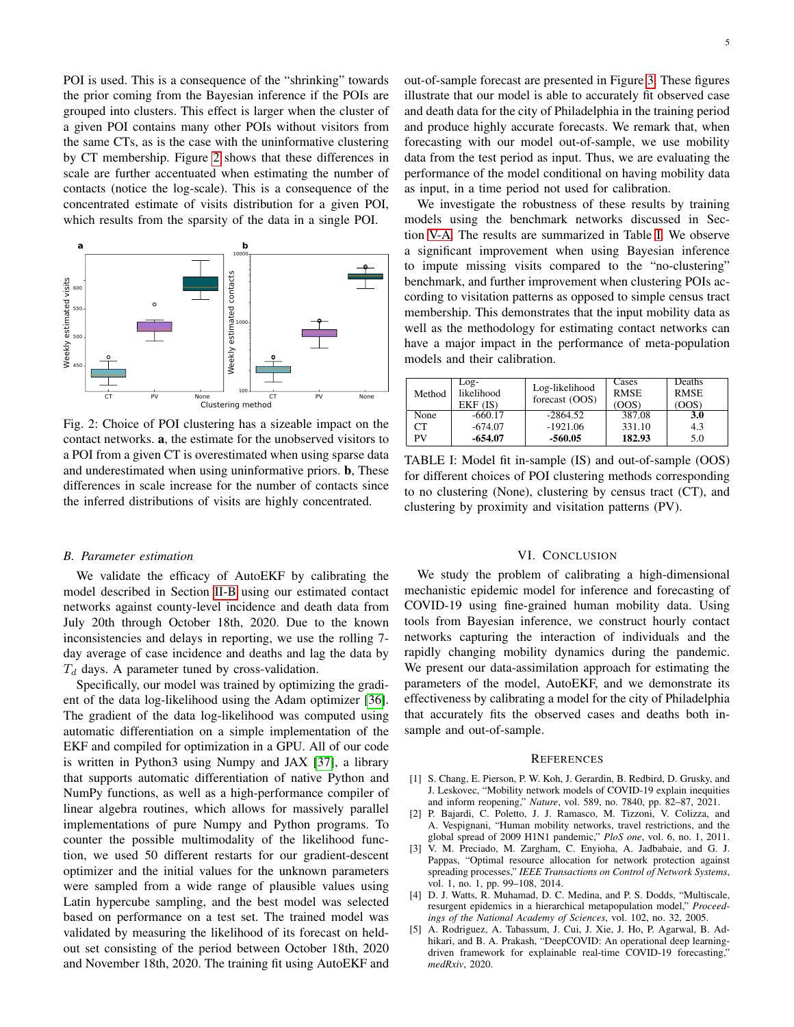POI is used. This is a consequence of the "shrinking" towards the prior coming from the Bayesian inference if the POIs are grouped into clusters. This effect is larger when the cluster of a given POI contains many other POIs without visitors from the same CTs, as is the case with the uninformative clustering by CT membership. Figure [2](#page-4-5) shows that these differences in scale are further accentuated when estimating the number of contacts (notice the log-scale). This is a consequence of the concentrated estimate of visits distribution for a given POI, which results from the sparsity of the data in a single POI.

<span id="page-4-5"></span>

Fig. 2: Choice of POI clustering has a sizeable impact on the contact networks. a, the estimate for the unobserved visitors to a POI from a given CT is overestimated when using sparse data and underestimated when using uninformative priors. b, These differences in scale increase for the number of contacts since the inferred distributions of visits are highly concentrated.

## *B. Parameter estimation*

We validate the efficacy of AutoEKF by calibrating the model described in Section [II-B](#page-1-0) using our estimated contact networks against county-level incidence and death data from July 20th through October 18th, 2020. Due to the known inconsistencies and delays in reporting, we use the rolling 7 day average of case incidence and deaths and lag the data by  $T_d$  days. A parameter tuned by cross-validation.

Specifically, our model was trained by optimizing the gradient of the data log-likelihood using the Adam optimizer [\[36\]](#page-5-27). The gradient of the data log-likelihood was computed using automatic differentiation on a simple implementation of the EKF and compiled for optimization in a GPU. All of our code is written in Python3 using Numpy and JAX [\[37\]](#page-5-28), a library that supports automatic differentiation of native Python and NumPy functions, as well as a high-performance compiler of linear algebra routines, which allows for massively parallel implementations of pure Numpy and Python programs. To counter the possible multimodality of the likelihood function, we used 50 different restarts for our gradient-descent optimizer and the initial values for the unknown parameters were sampled from a wide range of plausible values using Latin hypercube sampling, and the best model was selected based on performance on a test set. The trained model was validated by measuring the likelihood of its forecast on heldout set consisting of the period between October 18th, 2020 and November 18th, 2020. The training fit using AutoEKF and

out-of-sample forecast are presented in Figure [3.](#page-5-29) These figures illustrate that our model is able to accurately fit observed case and death data for the city of Philadelphia in the training period and produce highly accurate forecasts. We remark that, when forecasting with our model out-of-sample, we use mobility data from the test period as input. Thus, we are evaluating the performance of the model conditional on having mobility data as input, in a time period not used for calibration.

We investigate the robustness of these results by training models using the benchmark networks discussed in Section [V-A.](#page-3-1) The results are summarized in Table [I.](#page-4-6) We observe a significant improvement when using Bayesian inference to impute missing visits compared to the "no-clustering" benchmark, and further improvement when clustering POIs according to visitation patterns as opposed to simple census tract membership. This demonstrates that the input mobility data as well as the methodology for estimating contact networks can have a major impact in the performance of meta-population models and their calibration.

<span id="page-4-6"></span>

| Method | Log-<br>likelihood<br>EKF(IS) | Log-likelihood<br>forecast (OOS) | Cases<br><b>RMSE</b><br>(OOS) | Deaths<br><b>RMSE</b><br>(OOS) |
|--------|-------------------------------|----------------------------------|-------------------------------|--------------------------------|
| None   | $-660.17$                     | $-2864.52$                       | 387.08                        | 3.0                            |
| CТ     | $-674.07$                     | $-1921.06$                       | 331.10                        | 4.3                            |
| PV     | -654.07                       | -560.05                          | 182.93                        | 5.0                            |

TABLE I: Model fit in-sample (IS) and out-of-sample (OOS) for different choices of POI clustering methods corresponding to no clustering (None), clustering by census tract (CT), and clustering by proximity and visitation patterns (PV).

## VI. CONCLUSION

We study the problem of calibrating a high-dimensional mechanistic epidemic model for inference and forecasting of COVID-19 using fine-grained human mobility data. Using tools from Bayesian inference, we construct hourly contact networks capturing the interaction of individuals and the rapidly changing mobility dynamics during the pandemic. We present our data-assimilation approach for estimating the parameters of the model, AutoEKF, and we demonstrate its effectiveness by calibrating a model for the city of Philadelphia that accurately fits the observed cases and deaths both insample and out-of-sample.

#### **REFERENCES**

- <span id="page-4-0"></span>[1] S. Chang, E. Pierson, P. W. Koh, J. Gerardin, B. Redbird, D. Grusky, and J. Leskovec, "Mobility network models of COVID-19 explain inequities and inform reopening," *Nature*, vol. 589, no. 7840, pp. 82–87, 2021.
- <span id="page-4-1"></span>[2] P. Bajardi, C. Poletto, J. J. Ramasco, M. Tizzoni, V. Colizza, and A. Vespignani, "Human mobility networks, travel restrictions, and the global spread of 2009 H1N1 pandemic," *PloS one*, vol. 6, no. 1, 2011.
- <span id="page-4-2"></span>[3] V. M. Preciado, M. Zargham, C. Enyioha, A. Jadbabaie, and G. J. Pappas, "Optimal resource allocation for network protection against spreading processes," *IEEE Transactions on Control of Network Systems*, vol. 1, no. 1, pp. 99–108, 2014.
- <span id="page-4-3"></span>[4] D. J. Watts, R. Muhamad, D. C. Medina, and P. S. Dodds, "Multiscale, resurgent epidemics in a hierarchical metapopulation model," *Proceedings of the National Academy of Sciences*, vol. 102, no. 32, 2005.
- <span id="page-4-4"></span>[5] A. Rodriguez, A. Tabassum, J. Cui, J. Xie, J. Ho, P. Agarwal, B. Adhikari, and B. A. Prakash, "DeepCOVID: An operational deep learningdriven framework for explainable real-time COVID-19 forecasting," *medRxiv*, 2020.